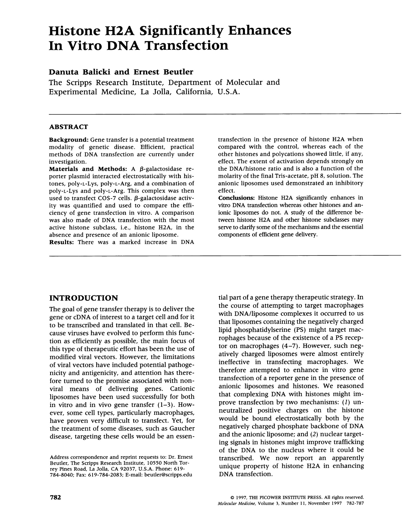# Histone H2A Significantly Enhances In Vitro DNA Transfection

# Danuta Balicki and Ernest Beutler

The Scripps Research Institute, Department of Molecular and Experimental Medicine, La Jolla, California, U.S.A.

#### ABSTRACT

Background: Gene transfer is a potential treatment modality of genetic disease. Efficient, practical methods of DNA transfection are currently under investigation.

Materials and Methods: A  $\beta$ -galactosidase reporter plasmid interacted electrostatically with histones, poly-L-Lys, poly-L-Arg, and a combination of poly-L-Lys and poly-L-Arg. This complex was then used to transfect COS-7 cells.  $\beta$ -galactosidase activity was quantified and used to compare the efficiency of gene transfection in vitro. A comparison was also made of DNA transfection with the most active histone subclass, i.e., histone H2A, in the absence and presence of an anionic liposome.

Results: There was <sup>a</sup> marked increase in DNA

transfection in the presence of histone H2A when compared with the control, whereas each of the other histones and polycations showed little, if any, effect. The extent of activation depends strongly on the DNA/histone ratio and is also a function of the molarity of the final Tris-acetate, pH 8, solution. The anionic liposomes used demonstrated an inhibitory effect.

Conclusions: Histone H2A significantly enhances in vitro DNA transfection whereas other histones and anionic liposomes do not. A study of the difference between histone H2A and other histone subclasses may serve to clarify some of the mechanisms and the essential components of efficient gene delivery.

# INTRODUCTION

The goal of gene transfer therapy is to deliver the gene or cDNA of interest to <sup>a</sup> target cell and for it to be transcribed and translated in that cell. Because viruses have evolved to perform this function as efficiently as possible, the main focus of this type of therapeutic effort has been the use of modified viral vectors. However, the limitations of viral vectors have included potential pathogenicity and antigenicity, and attention has therefore turned to the promise associated with nonviral means of delivering genes. Cationic liposomes have been used successfully for both in vitro and in vivo gene transfer  $(1-3)$ . However, some cell types, particularly macrophages, have proven very difficult to transfect. Yet, for the treatment of some diseases, such as Gaucher disease, targeting these cells would be an essen-

tial part of a gene therapy therapeutic strategy. In the course of attempting to target macrophages with DNA/liposome complexes it occurred to us that liposomes containing the negatively charged lipid phosphatidylserine (PS) might target macrophages because of the existence of a PS receptor on macrophages (4-7). However, such negatively charged liposomes were almost entirely ineffective in transfecting macrophages. We therefore attempted to enhance in vitro gene transfection of a reporter gene in the presence of anionic liposomes and histones. We reasoned that complexing DNA with histones might improve transfection by two mechanisms: (1) unneutralized positive charges on the histone would be bound electrostatically both by the negatively charged phosphate backbone of DNA and the anionic liposome; and (2) nuclear targeting signals in histones might improve trafficking of the DNA to the nucleus where it could be transcribed. We now report an apparently unique property of histone H2A in enhancing DNA transfection.

Address correspondence and reprint requests to: Dr. Ernest Beutler, The Scripps Research Institute, 10550 North Torrey Pines Road, La Jolla, CA 92037, U.S.A. Phone: 619- 784-8040; Fax: 619-784-2083; E-mail: beutler@scripps.edu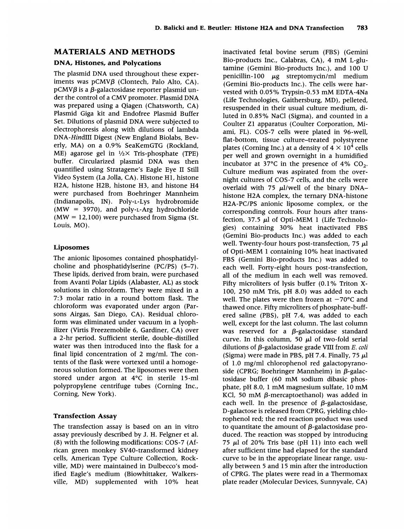## MATERIALS AND METHODS

## DNA, Histones, and Polycations

The plasmid DNA used throughout these experiments was  $pCMV\beta$  (Clontech, Palo Alto, CA).  $pCMV\beta$  is a  $\beta$ -galactosidase reporter plasmid under the control of <sup>a</sup> CMV promoter. Plasmid DNA was prepared using a Qiagen (Chatsworth, CA) Plasmid Giga kit and Endofree Plasmid Buffer Set. Dilutions of plasmid DNA were subjected to electrophoresis along with dilutions of lambda DNA-HindIlI Digest (New England Biolabs, Beverly, MA) on <sup>a</sup> 0.9% SeaKemGTG (Rockland, ME) agarose gel in  $\frac{1}{2} \times$  Tris-phosphate (TPE) buffer. Circularized plasmid DNA was then quantified using Stratagene's Eagle Eye II Still Video System (La Jolla, CA). Histone HI, histone H2A, histone H2B, histone H3, and histone H4 were purchased from Boehringer Mannheim (Indianapolis, IN). Poly-L-Lys hydrobromide (MW = 3970), and poly-L-Arg hydrochloride  $(MW = 12,100)$  were purchased from Sigma (St. Louis, MO).

#### Liposomes

The anionic liposomes contained phosphatidylcholine and phosphatidylserine (PC/PS) (5-7). These lipids, derived from brain, were purchased from Avanti Polar Lipids (Alabaster, AL) as stock solutions in chloroform. They were mixed in a 7:3 molar ratio in a round bottom flask. The chloroform was evaporated under argon (Parsons Airgas, San Diego, CA). Residual chloroform was eliminated under vacuum in a lyophilizer (Virtis Freezemobile 6, Gardiner, CA) over a 2-hr period. Sufficient sterile, double-distilled water was then introduced into the flask for a final lipid concentration of 2 mg/ml. The contents of the flask were vortexed until a homogeneous solution formed. The liposomes were then stored under argon at 4°C in sterile 15-ml polypropylene centrifuge tubes (Corning Inc., Corning, New York).

## Transfection Assay

The transfection assay is based on an in vitro assay previously described by J. H. Felgner et al. (8) with the following modifications: COS-7 (African green monkey SV40-transformed kidney cells, American Type Culture Collection, Rockville, MD) were maintained in Dulbecco's modified Eagle's medium (Biowhittaker, Walkersville, MD) supplemented with 10% heat inactivated fetal bovine serum (FBS) (Gemini Bio-products Inc., Calabras, CA), <sup>4</sup> mM L-glutamine (Gemini Bio-products Inc.), and 100 U penicillin- $100 \mu$ g streptomycin/ml medium (Gemini Bio-products Inc.). The cells were harvested with 0.05% Trypsin-0.53 mM EDTA-4Na (Life Technologies, Gaithersburg, MD), pelleted, resuspended in their usual culture medium, diluted in 0.85% NaCl (Sigma), and counted in a Coulter ZI apparatus (Coulter Corporation, Miami, FL). COS-7 cells were plated in 96-well, flat-bottom, tissue culture-treated polystyrene plates (Corning Inc.) at a density of  $4 \times 10^4$  cells per well and grown overnight in a humidified incubator at 37 $\degree$ C in the presence of 4% CO<sub>2</sub>. Culture medium was aspirated from the overnight cultures of COS-7 cells, and the cells were overlaid with 75  $\mu$ l/well of the binary DNAhistone H2A complex, the ternary DNA-histone H2A-PC/PS anionic liposome complex, or the corresponding controls. Four hours after transfection, 37.5  $\mu$ l of Opti-MEM 1 (Life Technologies) containing 30% heat inactivated FBS (Gemini Bio-products Inc.) was added to each well. Twenty-four hours post-transfection, 75  $\mu$ l of Opti-MEM <sup>1</sup> containing 10% heat inactivated FBS (Gemini Bio-products Inc.) was added to each well. Forty-eight hours post-transfection, all of the medium in each well was removed. Fifty microliters of lysis buffer (0.1% Triton X-100, <sup>250</sup> mM Tris, pH 8.0) was added to each well. The plates were then frozen at  $-70^{\circ}$ C and thawed once. Fifty microliters of phosphate-buffered saline (PBS), pH 7.4, was added to each well, except for the last column. The last column was reserved for a  $\beta$ -galactosidase standard curve. In this column, 50  $\mu$ l of two-fold serial dilutions of  $\beta$ -galactosidase grade VIII from E. coli (Sigma) were made in PBS, pH 7.4. Finally, 75  $\mu$ l of 1.0 mg/ml chlorophenol red galactopyranoside (CPRG; Boehringer Mannheim) in  $\beta$ -galactosidase buffer (60 mM sodium dibasic phosphate, pH 8.0, <sup>1</sup> mM magnesium sulfate, <sup>10</sup> mM KCl, 50 mM  $\beta$ -mercaptoethanol) was added in each well. In the presence of  $\beta$ -galactosidase, D-galactose is released from CPRG, yielding chlorophenol red; the red reaction product was used to quantitate the amount of  $\beta$ -galactosidase produced. The reaction was stopped by introducing 75  $\mu$ l of 20% Tris base (pH 11) into each well after sufficient time had elapsed for the standard curve to be in the appropriate linear range, usually between <sup>5</sup> and 15 min after the introduction of CPRG. The plates were read in a Thermomax plate reader (Molecular Devices, Sunnyvale, CA)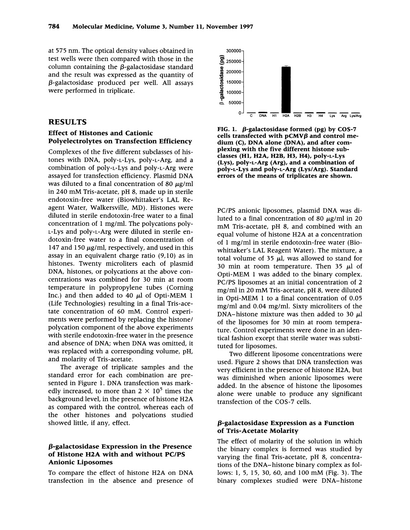at 575 nm. The optical density values obtained in test wells were then compared with those in the column containing the  $\beta$ -galactosidase standard and the result was expressed as the quantity of  $\beta$ -galactosidase produced per well. All assays were performed in triplicate.

## RESULTS

## Effect of Histones and Cationic Polyelectrolytes on Transfection Efficiency

Complexes of the five different subclasses of histones with DNA, poly-L-Lys, poly-L-Arg, and a combination of poly-L-Lys and poly-L-Arg were assayed for transfection efficiency. Plasmid DNA was diluted to a final concentration of 80  $\mu$ g/ml in <sup>240</sup> mM Tris-acetate, pH 8, made up in sterile endotoxin-free water (Biowhittaker's LAL Reagent Water, Walkersville, MD). Histones were diluted in sterile endotoxin-free water to a final concentration of <sup>1</sup> mg/ml. The polycations poly-L-Lys and poly-L-Arg were diluted in sterile endotoxin-free water to a final concentration of 147 and 150  $\mu$ g/ml, respectively, and used in this assay in an equivalent charge ratio (9,10) as in histones. Twenty microliters each of plasmid DNA, histones, or polycations at the above concentrations was combined for 30 min at room temperature in polypropylene tubes (Corning Inc.) and then added to 40  $\mu$ l of Opti-MEM 1 (Life Technologies) resulting in a final Tris-acetate concentration of 60 mM. Control experiments were performed by replacing the histone/ polycation component of the above experiments with sterile endotoxin-free water in the presence and absence of DNA; when DNA was omitted, it was replaced with a corresponding volume, pH, and molarity of Tris-acetate.

The average of triplicate samples and the standard error for each combination are presented in Figure 1. DNA transfection was markedly increased, to more than  $2 \times 10^5$  times the background level, in the presence of histone H2A as compared with the control, whereas each of the other histones and polycations studied showed little, if any, effect.

#### $\beta$ -galactosidase Expression in the Presence of Histone H2A with and without PC/PS Anionic Liposomes

To compare the effect of histone H2A on DNA transfection in the absence and presence of



FIG. 1.  $\beta$ -galactosidase formed (pg) by COS-7 cells transfected with  $pCMV\beta$  and control medium (C), DNA alone (DNA), and after complexing with the five different histone subclasses (HI, H2A, H2B, H3, H4), poly-L-Lys (Lys), poly-L-Arg (Arg), and a combination of poly-L-Lys and poly-L-Arg (Lys/Arg). Standard errors of the means of triplicates are shown.

PC/PS anionic liposomes, plasmid DNA was diluted to a final concentration of 80  $\mu$ g/ml in 20 mM Tris-acetate, pH 8, and combined with an equal volume of histone H2A at <sup>a</sup> concentration of <sup>1</sup> mg/ml in sterile endotoxin-free water (Biowhittaker's LAL Reagent Water). The mixture, a total volume of 35  $\mu$ l, was allowed to stand for 30 min at room temperature. Then 35  $\mu$ l of Opti-MEM <sup>1</sup> was added to the binary complex. PC/PS liposomes at an initial concentration of 2 mg/ml in <sup>20</sup> mM Tris-acetate, pH 8, were diluted in Opti-MEM <sup>1</sup> to a final concentration of 0.05 mg/ml and 0.04 mg/ml. Sixty microliters of the DNA-histone mixture was then added to 30  $\mu$ l of the liposomes for 30 min at room temperature. Control experiments were done in an identical fashion except that sterile water was substituted for liposomes.

Two different liposome concentrations were used. Figure <sup>2</sup> shows that DNA transfection was very efficient in the presence of histone H2A, but was diminished when anionic liposomes were added. In the absence of histone the liposomes alone were unable to produce any significant transfection of the COS-7 cells.

### $\beta$ -galactosidase Expression as a Function of Tris-Acetate Molarity

The effect of molarity of the solution in which the binary complex is formed was studied by varying the final Tris-acetate, pH 8, concentrations of the DNA-histone binary complex as follows: 1, 5, 15, 30, 60, and <sup>100</sup> mM (Fig. 3). The binary complexes studied were DNA-histone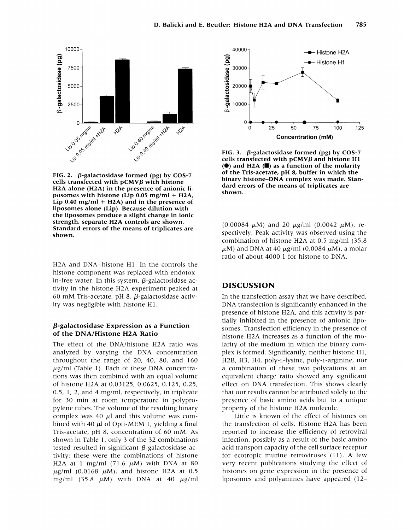

FIG. 2.  $\beta$ -galactosidase formed (pg) by COS-7 cells transfected with  $pCMV\beta$  with histone H2A alone (H2A) in the presence of anionic liposomes with histone (Lip 0.05 mg/ml + H2A, Lip  $0.40$  mg/ml + H2A) and in the presence of liposomes alone (Lip). Because dilution with the liposomes produce a slight change in ionic strength, separate H2A controls are shown. Standard errors of the means of triplicates are shown.

H2A and DNA-histone HI. In the controls the histone component was replaced with endotoxin-free water. In this system,  $\beta$ -galactosidase activity in the histone H2A experiment peaked at 60 mM Tris-acetate, pH 8.  $\beta$ -galactosidase activity was negligible with histone HI.

#### $\beta$ -galactosidase Expression as a Function of the DNA/Histone H2A Ratio

The effect of the DNA/histone H2A ratio was analyzed by varying the DNA concentration throughout the range of 20, 40, 80, and 160  $\mu$ g/ml (Table 1). Each of these DNA concentrations was then combined with an equal volume of histone H2A at 0.03125, 0.0625, 0.125, 0.25, 0.5, 1, 2, and 4 mg/ml, respectively, in triplicate for 30 min at room temperature in polypropylene tubes. The volume of the resulting binary complex was 40  $\mu$ l and this volume was combined with 40  $\mu$ l of Opti-MEM 1, yielding a final Tris-acetate, pH 8, concentration of 60 mM. As shown in Table 1, only <sup>3</sup> of the 32 combinations tested resulted in significant  $\beta$ -galactosidase activity; these were the combinations of histone H2A at 1 mg/ml (71.6  $\mu$ M) with DNA at 80  $\mu$ g/ml (0.0168  $\mu$ M), and histone H2A at 0.5 mg/ml (35.8  $\mu$ M) with DNA at 40  $\mu$ g/ml



FIG. 3.  $\beta$ -galactosidase formed (pg) by COS-7 cells transfected with  $pCMV\beta$  and histone HI  $\left( \bullet \right)$  and H2A  $\left( \blacksquare \right)$  as a function of the molarity of the Tris-acetate, pH 8, buffer in which the binary histone-DNA complex was made. Standard errors of the means of triplicates are shown.

(0.00084  $\mu$ M) and 20  $\mu$ g/ml (0.0042  $\mu$ M), respectively. Peak activity was observed using the combination of histone H2A at 0.5 mg/ml (35.8  $\mu$ M) and DNA at 40  $\mu$ g/ml (0.0084  $\mu$ M), a molar ratio of about 4000:1 for histone to DNA.

## DISCUSSION

In the transfection assay that we have described, DNA transfection is significantly enhanced in the presence of histone H2A, and this activity is partially inhibited in the presence of anionic liposomes. Transfection efficiency in the presence of histone H2A increases as <sup>a</sup> function of the molarity of the medium in which the binary complex is formed. Significantly, neither histone HI, H2B, H3, H4, poly-L-lysine, poly-L-arginine, nor a combination of these two polycations at an equivalent charge ratio showed any significant effect on DNA transfection. This shows clearly that our results cannot be attributed solely to the presence of basic amino acids but to a unique property of the histone H2A molecule.

Little is known of the effect of histones on the transfection of cells. Histone H2A has been reported to increase the efficiency of retroviral infection, possibly as a result of the basic amino acid transport capacity of the cell surface receptor for ecotropic murine retroviruses  $(11)$ . A few very recent publications studying the effect of histones on gene expression in the presence of liposomes and polyamines have appeared (12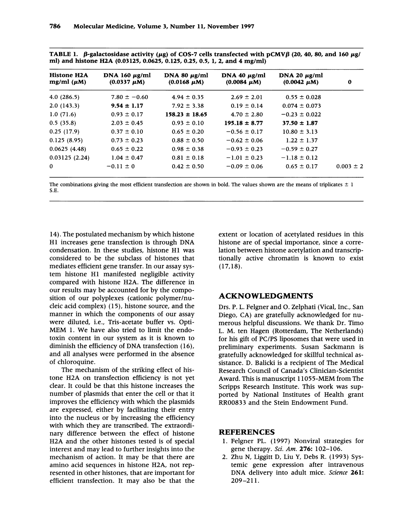TABLE 1.  $\beta$ -galactosidase activity (µg) of COS-7 cells transfected with pCMV $\beta$  (20, 40, 80, and 160 µg/ ml) and histone H2A (0.03125, 0.0625, 0.125, 0.25, 0.5, 1, 2, and 4 mg/ml)

| Histone H <sub>2</sub> A<br>mg/ml $(\mu M)$ | DNA 160 $\mu$ g/ml<br>$(0.0337 \mu M)$ | DNA 80 $\mu$ g/ml<br>$(0.0168 \mu M)$ | DNA 40 $\mu$ g/ml<br>$(0.0084 \mu M)$ | DNA 20 $\mu$ g/ml<br>$(0.0042 \mu M)$ | $\bf{0}$      |
|---------------------------------------------|----------------------------------------|---------------------------------------|---------------------------------------|---------------------------------------|---------------|
| 4.0(286.5)                                  | $7.80 \pm -0.60$                       | $4.94 \pm 0.35$                       | $2.69 \pm 2.01$                       | $0.55 \pm 0.028$                      |               |
| 2.0(143.3)                                  | $9.54 \pm 1.17$                        | $7.92 \pm 3.38$                       | $0.19 \pm 0.14$                       | $0.074 \pm 0.073$                     |               |
| 1.0(71.6)                                   | $0.93 \pm 0.17$                        | $158.23 \pm 18.65$                    | $4.70 \pm 2.80$                       | $-0.23 \pm 0.022$                     |               |
| 0.5(35.8)                                   | $2.03 \pm 0.45$                        | $0.93 \pm 0.10$                       | $195.18 \pm 8.77$                     | $37.50 \pm 1.87$                      |               |
| 0.25(17.9)                                  | $0.37 \pm 0.10$                        | $0.65 \pm 0.20$                       | $-0.56 \pm 0.17$                      | $10.80 \pm 3.13$                      |               |
| 0.125(8.95)                                 | $0.73 \pm 0.23$                        | $0.88 \pm 0.50$                       | $-0.62 \pm 0.06$                      | $1.22 \pm 1.37$                       |               |
| 0.0625(4.48)                                | $0.65 \pm 0.22$                        | $0.98 \pm 0.38$                       | $-0.93 \pm 0.23$                      | $-0.59 \pm 0.27$                      |               |
| 0.03125(2.24)                               | $1.04 \pm 0.47$                        | $0.81 \pm 0.18$                       | $-1.01 \pm 0.23$                      | $-1.18 \pm 0.12$                      |               |
| $\Omega$                                    | $-0.11 \pm 0$                          | $0.42 \pm 0.50$                       | $-0.09 \pm 0.06$                      | $0.65 \pm 0.17$                       | $0.003 \pm 2$ |

The combinations giving the most efficient transfection are shown in bold. The values shown are the means of triplicates  $\pm$  1 S.E.

14). The postulated mechanism by which histone HI increases gene transfection is through DNA condensation. In these studies, histone HI was considered to be the subclass of histones that mediates efficient gene transfer. In our assay system histone HI manifested negligible activity compared with histone H2A. The difference in our results may be accounted for by the composition of our polyplexes (cationic polymer/nucleic acid complex) (15), histone source, and the manner in which the components of our assay were diluted, i.e., Tris-acetate buffer vs. Opti-MEM 1. We have also tried to limit the endotoxin content in our system as it is known to diminish the efficiency of DNA transfection (16), and all analyses were performed in the absence of chloroquine.

The mechanism of the striking effect of histone H2A on transfection efficiency is not yet clear. It could be that this histone increases the number of plasmids that enter the cell or that it improves the efficiency with which the plasmids are expressed, either by facilitating their entry into the nucleus or by increasing the efficiency with which they are transcribed. The extraordinary difference between the effect of histone H2A and the other histones tested is of special interest and may lead to further insights into the mechanism of action. It may be that there are amino acid sequences in histone H2A, not represented in other histones, that are important for efficient transfection. It may also be that the

extent or location of acetylated residues in this histone are of special importance, since a correlation between histone acetylation and transcriptionally active chromatin is known to exist (17,18).

## ACKNOWLEDGMENTS

Drs. P. L. Felgner and 0. Zelphati (Vical, Inc., San Diego, CA) are gratefully acknowledged for numerous helpful discussions. We thank Dr. Timo L. M. ten Hagen (Rotterdam, The Netherlands) for his gift of PC/PS liposomes that were used in preliminary experiments. Susan Sackmann is gratefully acknowledged for skillful technical assistance. D. Balicki is a recipient of The Medical Research Council of Canada's Clinician-Scientist Award. This is manuscript 11055-MEM from The Scripps Research Institute. This work was supported by National Institutes of Health grant RR00833 and the Stein Endowment Fund.

#### REFERENCES

- 1. Felgner PL. (1997) Nonviral strategies for gene therapy. Sci. Am. 276: 102-106.
- 2. Zhu N, Liggitt D, Liu Y, Debs R. (1993) Systemic gene expression after intravenous DNA delivery into adult mice. Science 261: 209-211.